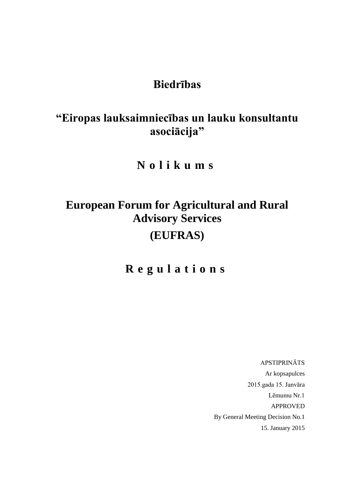## **Biedrības**

# **"Eiropas lauksaimniecības un lauku konsultantu asociācija"**

**N o l i k u m s**

# **European Forum for Agricultural and Rural Advisory Services (EUFRAS)**

**R e g u l a t i o n s**

APSTIPRINĀTS Ar kopsapulces 2015.gada 15. Janvāra Lēmumu Nr.1 APPROVED By General Meeting Decision No.1 15. January 2015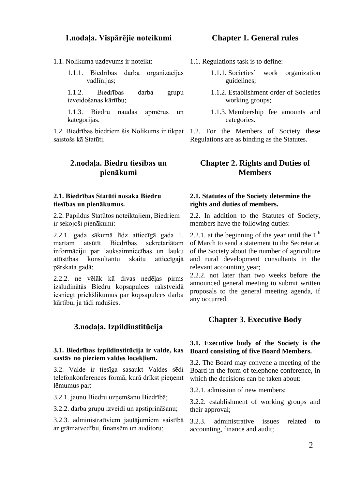## **1.nodaļa. Vispārējie noteikumi**

1.1. Nolikuma uzdevums ir noteikt:

1.1.1. Biedrības darba organizācijas vadlīnijas;

1.1.2. Biedrības darba grupu izveidošanas kārtību;

1.1.3. Biedru naudas apmērus un kategorijas.

1.2. Biedrības biedriem šis Nolikums ir tikpat saistošs kā Statūti.

## **2.nodaļa. Biedru tiesības un pienākumi**

#### **2.1. Biedrības Statūti nosaka Biedru tiesības un pienākumus.**

2.2. Papildus Statūtos noteiktajiem, Biedriem ir sekojoši pienākumi:

2.2.1. gada sākumā līdz attiecīgā gada 1. martam atsūtīt Biedrības sekretariātam informāciju par lauksaimniecības un lauku attīstības konsultantu skaitu attiecīgajā pārskata gadā;

2.2.2. ne vēlāk kā divas nedēļas pirms izsludinātās Biedru kopsapulces rakstveidā iesniegt priekšlikumus par kopsapulces darba kārtību, ja tādi radušies.

### **3.nodaļa. Izpildinstitūcija**

#### **3.1. Biedrības izpildinstitūcija ir valde, kas sastāv no pieciem valdes locekļiem.**

3.2. Valde ir tiesīga sasaukt Valdes sēdi telefonkonferences formā, kurā drīkst pieņemt lēmumus par:

3.2.1. jaunu Biedru uzņemšanu Biedrībā;

3.2.2. darba grupu izveidi un apstiprināšanu;

3.2.3. administratīviem jautājumiem saistībā ar grāmatvedību, finansēm un auditoru;

## **Chapter 1. General rules**

1.1. Regulations task is to define:

- 1.1.1. Societies` work organization guidelines;
- 1.1.2. Establishment order of Societies working groups;
- 1.1.3. Membership fee amounts and categories.

1.2. For the Members of Society these Regulations are as binding as the Statutes.

## **Chapter 2. Rights and Duties of Members**

#### **2.1. Statutes of the Society determine the rights and duties of members.**

2.2. In addition to the Statutes of Society, members have the following duties:

2.2.1. at the beginning of the year until the  $1<sup>th</sup>$ of March to send a statement to the Secretariat of the Society about the number of agriculture and rural development consultants in the relevant accounting year;

2.2.2. not later than two weeks before the announced general meeting to submit written proposals to the general meeting agenda, if any occurred.

## **Chapter 3. Executive Body**

#### **3.1. Executive body of the Society is the Board consisting of five Board Members.**

3.2. The Board may convene a meeting of the Board in the form of telephone conference, in which the decisions can be taken about:

3.2.1. admission of new members;

3.2.2. establishment of working groups and their approval;

3.2.3. administrative issues related to accounting, finance and audit;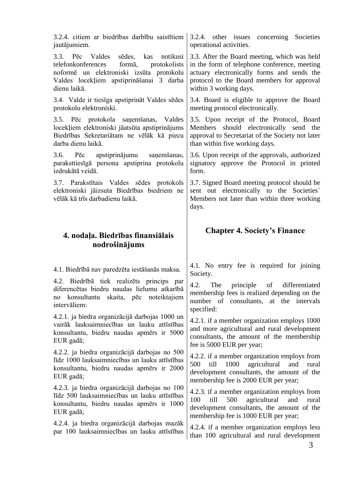| 3.2.4. citiem ar biedrības darbību saistītiem<br>jautājumiem.                                                                                                                                            | 3.2.4. other issues concerning Societies<br>operational activities.                                                                                                                                                |
|----------------------------------------------------------------------------------------------------------------------------------------------------------------------------------------------------------|--------------------------------------------------------------------------------------------------------------------------------------------------------------------------------------------------------------------|
| Pēc Valdes<br>sēdes, kas<br>3.3.<br>notikusi<br>formā,<br>protokolists<br>telefonkonferences<br>noformē un elektroniski izsūta protokolu<br>Valdes locekļiem apstiprināšanai 3 darba<br>dienu laikā.     | 3.3. After the Board meeting, which was held<br>in the form of telephone conference, meeting<br>actuary electronically forms and sends the<br>protocol to the Board members for approval<br>within 3 working days. |
| 3.4. Valde ir tiesīga apstiprināt Valdes sēdes<br>protokolu elektroniski.                                                                                                                                | 3.4. Board is eligible to approve the Board<br>meeting protocol electronically.                                                                                                                                    |
| 3.5. Pēc protokola saņemšanas, Valdes<br>locekļiem elektroniski jāatsūta apstiprinājums<br>Biedrības Sekretariātam ne vēlāk kā piecu<br>darba dienu laikā.                                               | 3.5. Upon receipt of the Protocol, Board<br>Members should electronically send the<br>approval to Secretariat of the Society not later<br>than within five working days.                                           |
| apstiprinājumu<br>3.6.<br>Pēc<br>saņemšanas,<br>paraksttiesīgā persona apstiprina protokolu<br>izdrukātā veidā.                                                                                          | 3.6. Upon receipt of the approvals, authorized<br>signatory approve the Protocol in printed<br>form.                                                                                                               |
| 3.7. Parakstītais Valdes sēdes protokols<br>elektroniski jāizsuta Biedrības biedriem ne<br>vēlāk kā trīs darbadienu laikā.                                                                               | 3.7. Signed Board meeting protocol should be<br>sent out electronically to the Societies<br>Members not later than within three working<br>days.                                                                   |
| 4. nodaļa. Biedrības finansiālais                                                                                                                                                                        | <b>Chapter 4. Society's Finance</b>                                                                                                                                                                                |
| nodrošinājums                                                                                                                                                                                            |                                                                                                                                                                                                                    |
| 4.1. Biedrībā nav paredzēta iestāšanās maksa.                                                                                                                                                            | 4.1. No entry fee is required for joining                                                                                                                                                                          |
| 4.2. Biedrībā tiek realizēts princips par<br>diferencētas biedru naudas lielumu atkarībā<br>konsultantu skaita, pēc noteiktajiem<br>no<br>intervāliem:                                                   | Society.<br>4.2.<br>The<br>principle<br>of<br>differentiated<br>membership fees is realized depending on the<br>number of consultants, at the intervals<br>specified:                                              |
| 4.2.1. ja biedra organizācijā darbojas 1000 un<br>vairāk lauksaimniecības un lauku attīstības<br>konsultantu, biedru naudas apmērs ir 5000<br>EUR gadā;                                                  | 4.2.1. if a member organization employs 1000<br>and more agricultural and rural development<br>consultants, the amount of the membership<br>fee is 5000 EUR per year;                                              |
| 4.2.2. ja biedra organizācijā darbojas no 500<br>līdz 1000 lauksaimniecības un lauku attīstības<br>konsultantu, biedru naudas apmērs ir 2000<br>EUR gadā;                                                | 4.2.2. if a member organization employs from<br>500<br>till<br>1000<br>agricultural<br>and<br>rural<br>development consultants, the amount of the<br>membership fee is 2000 EUR per year;                          |
| 4.2.3. ja biedra organizācijā darbojas no 100<br>līdz 500 lauksaimniecības un lauku attīstības<br>konsultantu, biedru naudas apmērs ir 1000<br>EUR gadā;<br>4.2.4. ja biedra organizācijā darbojas mazāk | 4.2.3. if a member organization employs from<br>till<br>500<br>agricultural<br>and<br>100<br>rural<br>development consultants, the amount of the<br>membership fee is 1000 EUR per year;                           |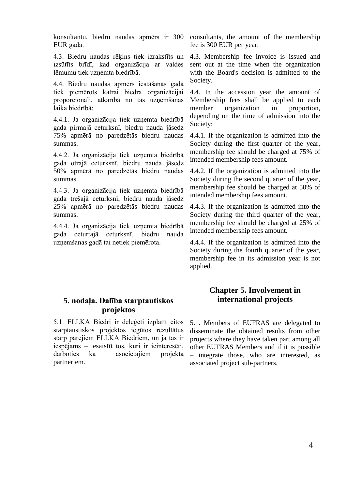| konsultantu, biedru naudas apmērs ir 300<br>EUR gadā.                                                                                                   | consultants, the amount of the membership<br>fee is 300 EUR per year.                                                                                                               |
|---------------------------------------------------------------------------------------------------------------------------------------------------------|-------------------------------------------------------------------------------------------------------------------------------------------------------------------------------------|
| 4.3. Biedru naudas rēķins tiek izrakstīts un<br>izsūtīts brīdī, kad organizācija ar valdes<br>lēmumu tiek uzņemta biedrībā.                             | 4.3. Membership fee invoice is issued and<br>sent out at the time when the organization<br>with the Board's decision is admitted to the<br>Society.                                 |
| 4.4. Biedru naudas apmērs iestāšanās gadā<br>tiek piemērots katrai biedra organizācijai<br>proporcionāli, atkarībā no tās uzņemšanas<br>laika biedrībā: | 4.4. In the accession year the amount of<br>Membership fees shall be applied to each<br>organization<br>member<br>in<br>proportion,                                                 |
| 4.4.1. Ja organizācija tiek uzņemta biedrībā<br>gada pirmajā ceturksnī, biedru nauda jāsedz                                                             | depending on the time of admission into the<br>Society:                                                                                                                             |
| 75% apmērā no paredzētās biedru naudas<br>summas.<br>4.4.2. Ja organizācija tiek uzņemta biedrībā                                                       | 4.4.1. If the organization is admitted into the<br>Society during the first quarter of the year,<br>membership fee should be charged at 75% of                                      |
| gada otrajā ceturksnī, biedru nauda jāsedz<br>50% apmērā no paredzētās biedru naudas<br>summas.                                                         | intended membership fees amount.<br>4.4.2. If the organization is admitted into the<br>Society during the second quarter of the year,<br>membership fee should be charged at 50% of |
| 4.4.3. Ja organizācija tiek uzņemta biedrībā<br>gada trešajā ceturksnī, biedru nauda jāsedz<br>25% apmērā no paredzētās biedru naudas                   | intended membership fees amount.<br>4.4.3. If the organization is admitted into the                                                                                                 |
| summas.<br>4.4.4. Ja organizācija tiek uzņemta biedrībā<br>gada<br>ceturtajā<br>ceturksnī, biedru<br>nauda<br>uzņemšanas gadā tai netiek piemērota.     | Society during the third quarter of the year,<br>membership fee should be charged at 25% of<br>intended membership fees amount.                                                     |
|                                                                                                                                                         | 4.4.4. If the organization is admitted into the<br>Society during the fourth quarter of the year,<br>membership fee in its admission year is not<br>applied.                        |
| 5. nodaļa. Dalība starptautiskos<br>projektos                                                                                                           | <b>Chapter 5. Involvement in</b><br>international projects                                                                                                                          |
| 5.1. ELLKA Biedri ir deleģēti izplatīt citos<br>starptaustiskos projektos iegūtos rezultātus                                                            | 5.1. Members of EUFRAS are delegated to<br>disseminate the obtained results from other                                                                                              |

starp pārējiem ELLKA Biedriem, un ja tas ir iespējams – iesaistīt tos, kuri ir ieinteresēti, kā asociētajiem projekta partneriem.

projects where they have taken part among all other EUFRAS Members and if it is possible – integrate those, who are interested, as associated project sub-partners.